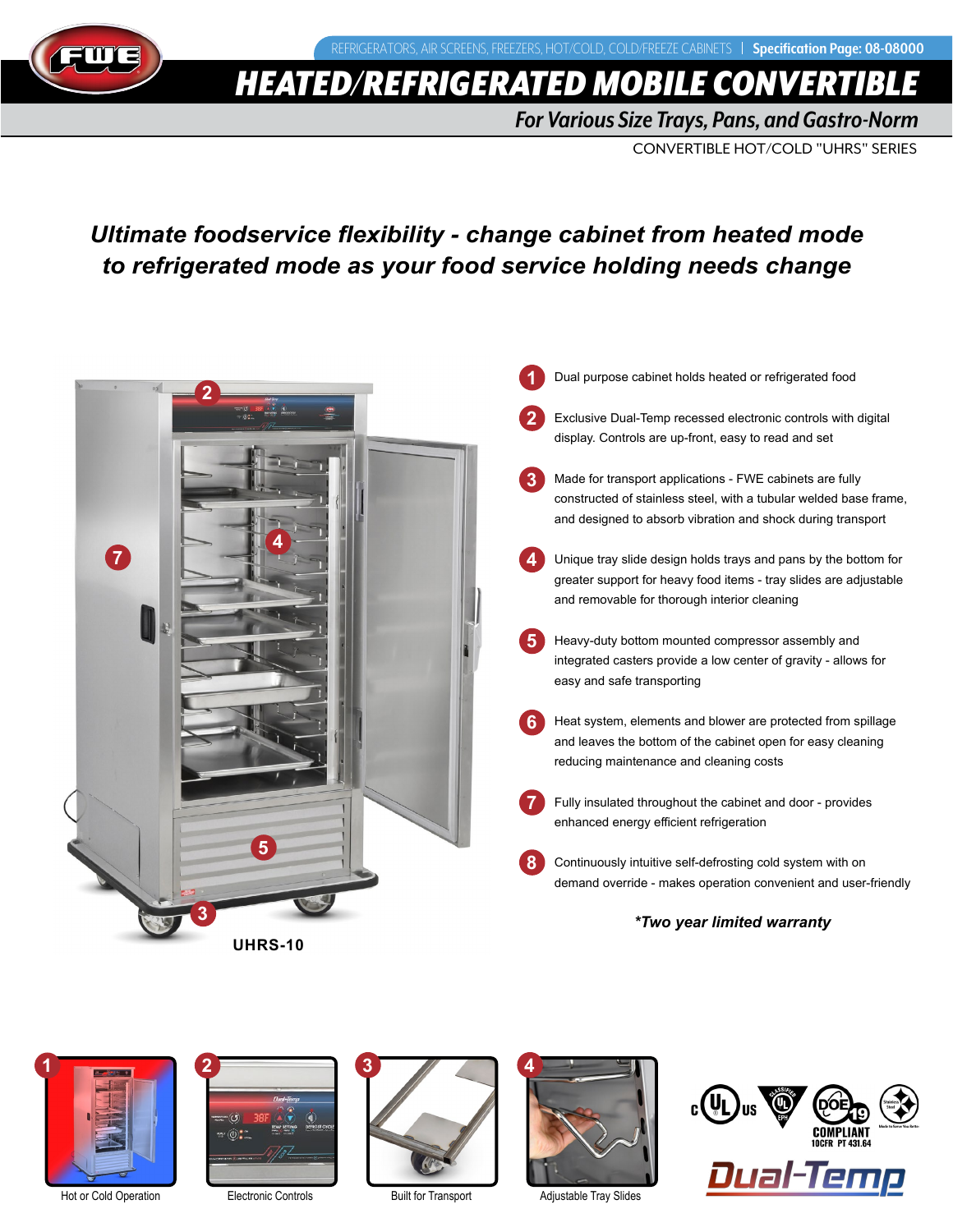

# **HEATED/REFRIGERATED MOBILE CONVERT**

*For Various Size Trays, Pans, and Gastro-Norm*

CONVERTIBLE HOT/COLD "UHRS" SERIES

## *Ultimate foodservice flexibility - change cabinet from heated mode to refrigerated mode as your food service holding needs change*



- Dual purpose cabinet holds heated or refrigerated food **1**
- Exclusive Dual-Temp recessed electronic controls with digital display. Controls are up-front, easy to read and set **2**
- Made for transport applications FWE cabinets are fully constructed of stainless steel, with a tubular welded base frame, and designed to absorb vibration and shock during transport **3**
- Unique tray slide design holds trays and pans by the bottom for greater support for heavy food items - tray slides are adjustable and removable for thorough interior cleaning **4**
- Heavy-duty bottom mounted compressor assembly and integrated casters provide a low center of gravity - allows for easy and safe transporting **5**
- Heat system, elements and blower are protected from spillage and leaves the bottom of the cabinet open for easy cleaning reducing maintenance and cleaning costs **6**
- Fully insulated throughout the cabinet and door provides enhanced energy efficient refrigeration **7**
- Continuously intuitive self-defrosting cold system with on demand override - makes operation convenient and user-friendly **8**

### *\*Two year limited warranty*